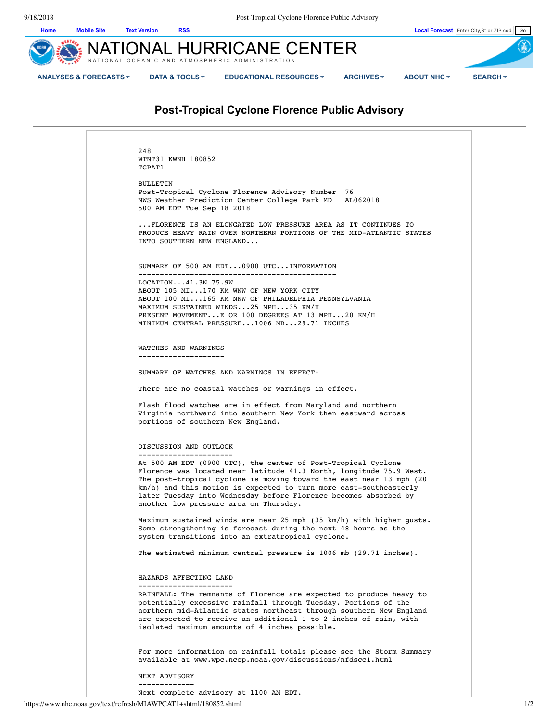

# **Post-Tropical Cyclone Florence Public Advisory**

| 248                                                                                                                                                                 |
|---------------------------------------------------------------------------------------------------------------------------------------------------------------------|
| WTNT31 KWNH 180852<br>TCPAT1                                                                                                                                        |
|                                                                                                                                                                     |
| <b>BULLETIN</b><br>Post-Tropical Cyclone Florence Advisory Number 76                                                                                                |
| NWS Weather Prediction Center College Park MD<br>AL062018                                                                                                           |
| 500 AM EDT Tue Sep 18 2018                                                                                                                                          |
| FLORENCE IS AN ELONGATED LOW PRESSURE AREA AS IT CONTINUES TO<br>PRODUCE HEAVY RAIN OVER NORTHERN PORTIONS OF THE MID-ATLANTIC STATES<br>INTO SOUTHERN NEW ENGLAND  |
| SUMMARY OF 500 AM EDT0900 UTCINFORMATION                                                                                                                            |
| LOCATION41.3N75.9W                                                                                                                                                  |
| ABOUT 105 MI170 KM WNW OF NEW YORK CITY                                                                                                                             |
| ABOUT 100 MI165 KM NNW OF PHILADELPHIA PENNSYLVANIA                                                                                                                 |
| MAXIMUM SUSTAINED WINDS25 MPH35 KM/H<br>PRESENT MOVEMENTE OR 100 DEGREES AT 13 MPH20 KM/H                                                                           |
| MINIMUM CENTRAL PRESSURE1006 MB29.71 INCHES                                                                                                                         |
|                                                                                                                                                                     |
| WATCHES AND WARNINGS                                                                                                                                                |
| --------------------                                                                                                                                                |
| SUMMARY OF WATCHES AND WARNINGS IN EFFECT:                                                                                                                          |
| There are no coastal watches or warnings in effect.                                                                                                                 |
| Flash flood watches are in effect from Maryland and northern<br>Virginia northward into southern New York then eastward across<br>portions of southern New England. |
| DISCUSSION AND OUTLOOK                                                                                                                                              |
| -----------------------<br>At 500 AM EDT (0900 UTC), the center of Post-Tropical Cyclone                                                                            |
| Florence was located near latitude 41.3 North, longitude 75.9 West.                                                                                                 |
| The post-tropical cyclone is moving toward the east near 13 mph (20)<br>km/h) and this motion is expected to turn more east-southeasterly                           |
| later Tuesday into Wednesday before Florence becomes absorbed by                                                                                                    |
| another low pressure area on Thursday.                                                                                                                              |
| Maximum sustained winds are near 25 mph (35 km/h) with higher gusts.                                                                                                |
| Some strengthening is forecast during the next 48 hours as the<br>system transitions into an extratropical cyclone.                                                 |
| The estimated minimum central pressure is $1006$ mb $(29.71$ inches).                                                                                               |
|                                                                                                                                                                     |
| HAZARDS AFFECTING LAND<br>-----------------------                                                                                                                   |
| RAINFALL: The remnants of Florence are expected to produce heavy to                                                                                                 |
| potentially excessive rainfall through Tuesday. Portions of the<br>northern mid-Atlantic states northeast through southern New England                              |
| are expected to receive an additional 1 to 2 inches of rain, with<br>isolated maximum amounts of 4 inches possible.                                                 |
| For more information on rainfall totals please see the Storm Summary                                                                                                |
| available at www.wpc.ncep.noaa.gov/discussions/nfdsccl.html                                                                                                         |
| NEXT ADVISORY                                                                                                                                                       |
| -------------                                                                                                                                                       |

Next complete advisory at 1100 AM EDT.